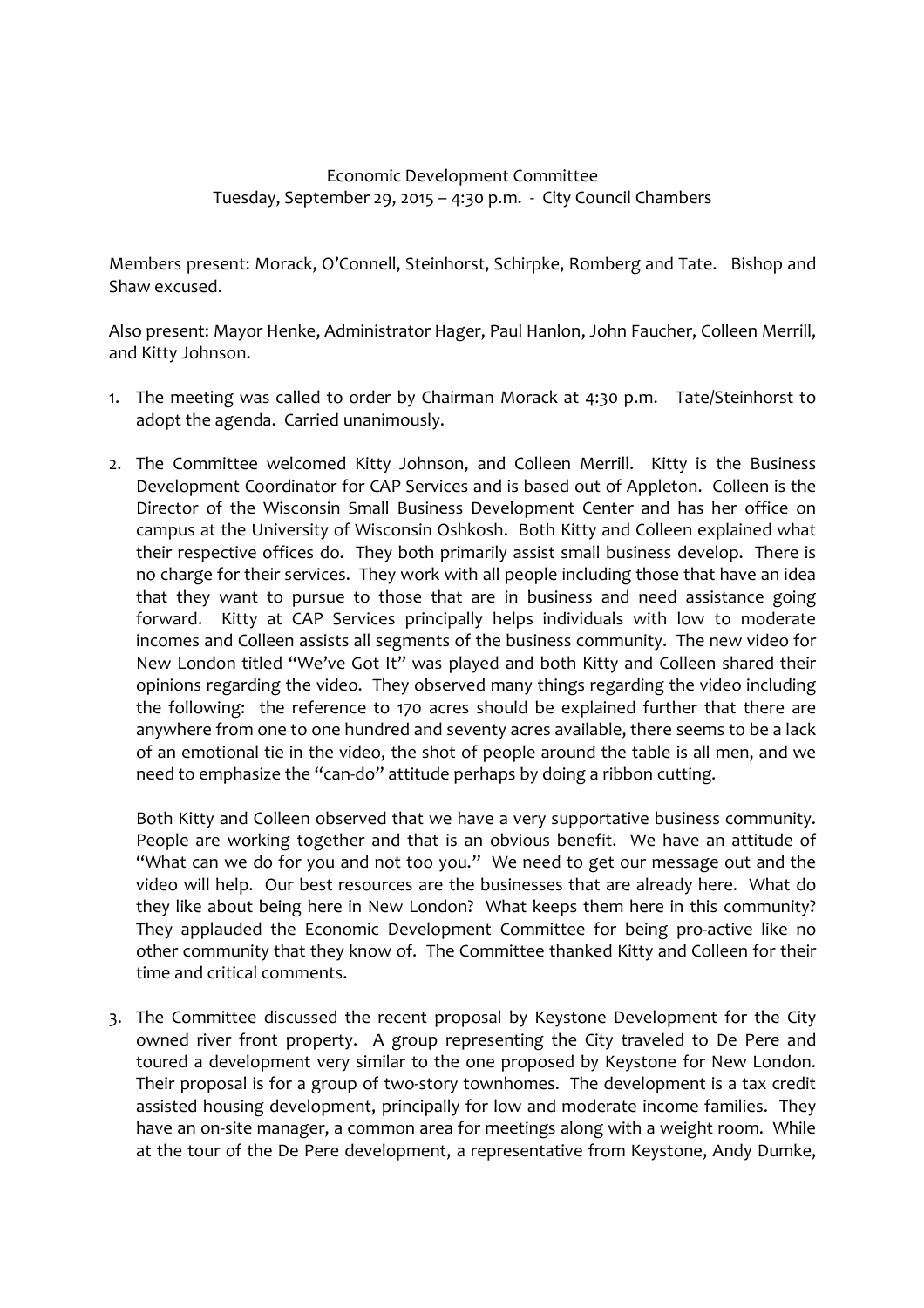## Economic Development Committee Tuesday, September 29, 2015 – 4:30 p.m. - City Council Chambers

Members present: Morack, O'Connell, Steinhorst, Schirpke, Romberg and Tate. Bishop and Shaw excused.

Also present: Mayor Henke, Administrator Hager, Paul Hanlon, John Faucher, Colleen Merrill, and Kitty Johnson.

- 1. The meeting was called to order by Chairman Morack at 4:30 p.m. Tate/Steinhorst to adopt the agenda. Carried unanimously.
- 2. The Committee welcomed Kitty Johnson, and Colleen Merrill. Kitty is the Business Development Coordinator for CAP Services and is based out of Appleton. Colleen is the Director of the Wisconsin Small Business Development Center and has her office on campus at the University of Wisconsin Oshkosh. Both Kitty and Colleen explained what their respective offices do. They both primarily assist small business develop. There is no charge for their services. They work with all people including those that have an idea that they want to pursue to those that are in business and need assistance going forward. Kitty at CAP Services principally helps individuals with low to moderate incomes and Colleen assists all segments of the business community. The new video for New London titled "We've Got It" was played and both Kitty and Colleen shared their opinions regarding the video. They observed many things regarding the video including the following: the reference to 170 acres should be explained further that there are anywhere from one to one hundred and seventy acres available, there seems to be a lack of an emotional tie in the video, the shot of people around the table is all men, and we need to emphasize the "can-do" attitude perhaps by doing a ribbon cutting.

Both Kitty and Colleen observed that we have a very supportative business community. People are working together and that is an obvious benefit. We have an attitude of "What can we do for you and not too you." We need to get our message out and the video will help. Our best resources are the businesses that are already here. What do they like about being here in New London? What keeps them here in this community? They applauded the Economic Development Committee for being pro-active like no other community that they know of. The Committee thanked Kitty and Colleen for their time and critical comments.

3. The Committee discussed the recent proposal by Keystone Development for the City owned river front property. A group representing the City traveled to De Pere and toured a development very similar to the one proposed by Keystone for New London. Their proposal is for a group of two-story townhomes. The development is a tax credit assisted housing development, principally for low and moderate income families. They have an on-site manager, a common area for meetings along with a weight room. While at the tour of the De Pere development, a representative from Keystone, Andy Dumke,